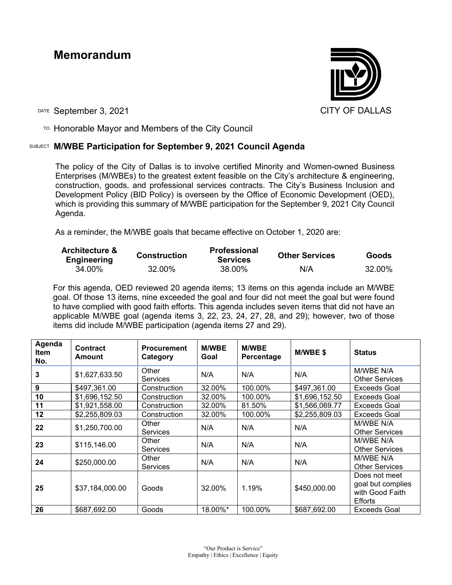# **Memorandum**



DATE September 3, 2021 CITY OF DALLAS

 $T$ <sup>O</sup> Honorable Mayor and Members of the City Council

## SUBJECT **M/WBE Participation for September 9, 2021 Council Agenda**

The policy of the City of Dallas is to involve certified Minority and Women-owned Business Enterprises (M/WBEs) to the greatest extent feasible on the City's architecture & engineering, construction, goods, and professional services contracts. The City's Business Inclusion and Development Policy (BID Policy) is overseen by the Office of Economic Development (OED), which is providing this summary of M/WBE participation for the September 9, 2021 City Council Agenda.

As a reminder, the M/WBE goals that became effective on October 1, 2020 are:

| <b>Architecture &amp;</b><br><b>Engineering</b> | <b>Construction</b> | <b>Professional</b><br><b>Services</b> | <b>Other Services</b> | <b>Goods</b> |
|-------------------------------------------------|---------------------|----------------------------------------|-----------------------|--------------|
| 34.00%                                          | 32.00%              | 38.00%                                 | N/A                   | 32.00%       |

For this agenda, OED reviewed 20 agenda items; 13 items on this agenda include an M/WBE goal. Of those 13 items, nine exceeded the goal and four did not meet the goal but were found to have complied with good faith efforts. This agenda includes seven items that did not have an applicable M/WBE goal (agenda items 3, 22, 23, 24, 27, 28, and 29); however, two of those items did include M/WBE participation (agenda items 27 and 29).

| Agenda<br><b>Item</b><br>No. | Contract<br>Amount | <b>Procurement</b><br>Category | <b>M/WBE</b><br>Goal | <b>M/WBE</b><br>Percentage | M/WBE \$       | <b>Status</b>                                                           |
|------------------------------|--------------------|--------------------------------|----------------------|----------------------------|----------------|-------------------------------------------------------------------------|
| 3                            | \$1,627,633.50     | Other<br><b>Services</b>       | N/A                  | N/A                        | N/A            | M/WBE N/A<br><b>Other Services</b>                                      |
| 9                            | \$497,361.00       | Construction                   | 32.00%               | 100.00%                    | \$497,361.00   | <b>Exceeds Goal</b>                                                     |
| 10                           | \$1,696,152.50     | Construction                   | 32.00%               | 100.00%                    | \$1,696,152.50 | Exceeds Goal                                                            |
| 11                           | \$1,921,558.00     | Construction                   | 32.00%               | 81.50%                     | \$1,566,069.77 | <b>Exceeds Goal</b>                                                     |
| 12                           | \$2,255,809.03     | Construction                   | 32.00%               | 100.00%                    | \$2,255,809.03 | Exceeds Goal                                                            |
| 22                           | \$1,250,700.00     | Other<br><b>Services</b>       | N/A                  | N/A                        | N/A            | M/WBE N/A<br><b>Other Services</b>                                      |
| 23                           | \$115,146.00       | Other<br>Services              | N/A                  | N/A                        | N/A            | M/WBE N/A<br><b>Other Services</b>                                      |
| 24                           | \$250,000.00       | Other<br><b>Services</b>       | N/A                  | N/A                        | N/A            | M/WBE N/A<br><b>Other Services</b>                                      |
| 25                           | \$37,184,000.00    | Goods                          | 32.00%               | 1.19%                      | \$450,000.00   | Does not meet<br>goal but complies<br>with Good Faith<br><b>Efforts</b> |
| 26                           | \$687,692.00       | Goods                          | 18.00%*              | 100.00%                    | \$687,692.00   | Exceeds Goal                                                            |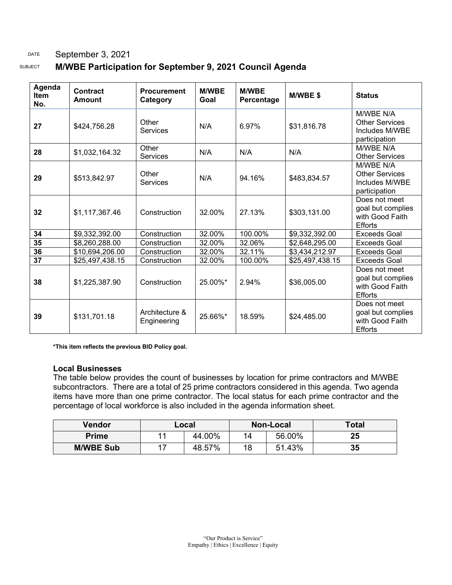### DATE September 3, 2021

## SUBJECT **M/WBE Participation for September 9, 2021 Council Agenda**

| Agenda<br><b>Item</b><br>No. | <b>Contract</b><br>Amount | <b>Procurement</b><br>Category | <b>M/WBE</b><br>Goal | <b>M/WBE</b><br>Percentage | M/WBE\$         | <b>Status</b>                                                           |
|------------------------------|---------------------------|--------------------------------|----------------------|----------------------------|-----------------|-------------------------------------------------------------------------|
| 27                           | \$424,756.28              | Other<br>Services              | N/A                  | 6.97%                      | \$31,816.78     | M/WBE N/A<br><b>Other Services</b><br>Includes M/WBE<br>participation   |
| 28                           | \$1,032,164.32            | Other<br>Services              | N/A                  | N/A                        | N/A             | M/WBE N/A<br><b>Other Services</b>                                      |
| 29                           | \$513,842.97              | Other<br>Services              | N/A                  | 94.16%                     | \$483,834.57    | M/WBE N/A<br><b>Other Services</b><br>Includes M/WBE<br>participation   |
| 32                           | \$1,117,367.46            | Construction                   | 32.00%               | 27.13%                     | \$303,131.00    | Does not meet<br>goal but complies<br>with Good Faith<br><b>Efforts</b> |
| 34                           | \$9,332,392.00            | Construction                   | 32.00%               | 100.00%                    | \$9,332,392.00  | Exceeds Goal                                                            |
| 35                           | \$8,260,288.00            | Construction                   | 32.00%               | 32.06%                     | \$2,648,295.00  | Exceeds Goal                                                            |
| 36                           | \$10,694,206.00           | Construction                   | 32.00%               | 32.11%                     | \$3,434,212.97  | <b>Exceeds Goal</b>                                                     |
| 37                           | \$25,497,438.15           | Construction                   | 32.00%               | 100.00%                    | \$25,497,438.15 | Exceeds Goal                                                            |
| 38                           | \$1,225,387.90            | Construction                   | 25.00%*              | 2.94%                      | \$36,005.00     | Does not meet<br>goal but complies<br>with Good Faith<br><b>Efforts</b> |
| 39                           | \$131,701.18              | Architecture &<br>Engineering  | 25.66%*              | 18.59%                     | \$24,485.00     | Does not meet<br>goal but complies<br>with Good Faith<br><b>Efforts</b> |

**\*This item reflects the previous BID Policy goal.**

#### **Local Businesses**

The table below provides the count of businesses by location for prime contractors and M/WBE subcontractors. There are a total of 25 prime contractors considered in this agenda. Two agenda items have more than one prime contractor. The local status for each prime contractor and the percentage of local workforce is also included in the agenda information sheet.

| Vendor           | Local |        | Non-Local |        | <b>Total</b> |
|------------------|-------|--------|-----------|--------|--------------|
| <b>Prime</b>     |       | 44.00% | 14        | 56.00% | 25           |
| <b>M/WBE Sub</b> |       | 48.57% | 18        | 51.43% | 35           |